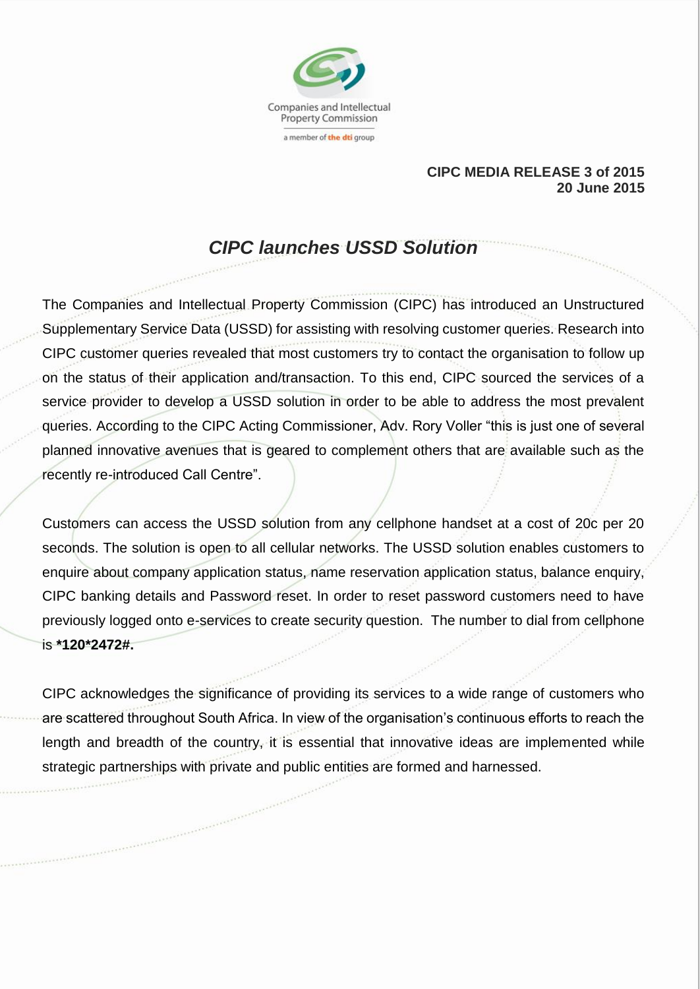

## **CIPC MEDIA RELEASE 3 of 2015 20 June 2015**

## *CIPC launches USSD Solution*

The Companies and Intellectual Property Commission (CIPC) has introduced an Unstructured Supplementary Service Data (USSD) for assisting with resolving customer queries. Research into CIPC customer queries revealed that most customers try to contact the organisation to follow up on the status of their application and/transaction. To this end, CIPC sourced the services of a service provider to develop a USSD solution in order to be able to address the most prevalent queries. According to the CIPC Acting Commissioner, Adv. Rory Voller "this is just one of several planned innovative avenues that is geared to complement others that are available such as the recently re-introduced Call Centre".

Customers can access the USSD solution from any cellphone handset at a cost of 20c per 20 seconds. The solution is open to all cellular networks. The USSD solution enables customers to enquire about company application status, name reservation application status, balance enquiry, CIPC banking details and Password reset. In order to reset password customers need to have previously logged onto e-services to create security question. The number to dial from cellphone is **\*120\*2472#.** 

CIPC acknowledges the significance of providing its services to a wide range of customers who are scattered throughout South Africa. In view of the organisation's continuous efforts to reach the length and breadth of the country, it is essential that innovative ideas are implemented while strategic partnerships with private and public entities are formed and harnessed.